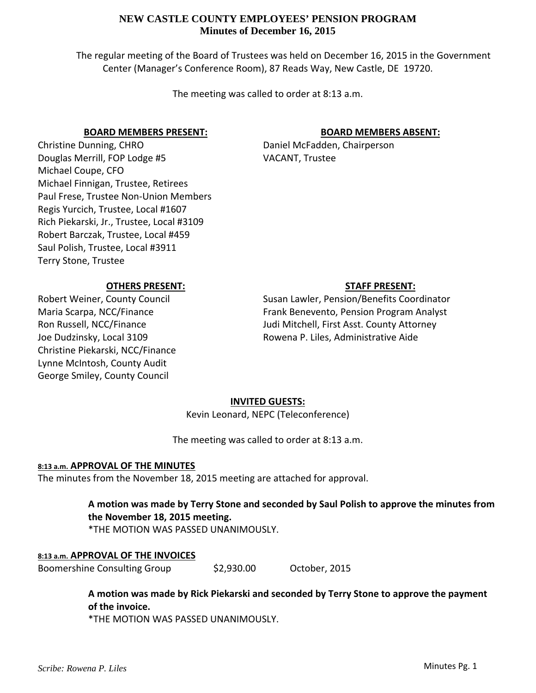The regular meeting of the Board of Trustees was held on December 16, 2015 in the Government Center (Manager's Conference Room), 87 Reads Way, New Castle, DE 19720.

The meeting was called to order at 8:13 a.m.

### **BOARD MEMBERS PRESENT:**

Christine Dunning, CHRO Douglas Merrill, FOP Lodge #5 Michael Coupe, CFO Michael Finnigan, Trustee, Retirees Paul Frese, Trustee Non‐Union Members Regis Yurcich, Trustee, Local #1607 Rich Piekarski, Jr., Trustee, Local #3109 Robert Barczak, Trustee, Local #459 Saul Polish, Trustee, Local #3911 Terry Stone, Trustee

# **BOARD MEMBERS ABSENT:**

Daniel McFadden, Chairperson VACANT, Trustee

# **OTHERS PRESENT:**

Robert Weiner, County Council Maria Scarpa, NCC/Finance Ron Russell, NCC/Finance Joe Dudzinsky, Local 3109 Christine Piekarski, NCC/Finance Lynne McIntosh, County Audit George Smiley, County Council

## **STAFF PRESENT:**

Susan Lawler, Pension/Benefits Coordinator Frank Benevento, Pension Program Analyst Judi Mitchell, First Asst. County Attorney Rowena P. Liles, Administrative Aide

## **INVITED GUESTS:**

Kevin Leonard, NEPC (Teleconference)

The meeting was called to order at 8:13 a.m.

## **8:13 a.m. APPROVAL OF THE MINUTES**

The minutes from the November 18, 2015 meeting are attached for approval.

**A motion was made by Terry Stone and seconded by Saul Polish to approve the minutes from the November 18, 2015 meeting.**

\*THE MOTION WAS PASSED UNANIMOUSLY.

## **8:13 a.m. APPROVAL OF THE INVOICES**

Boomershine Consulting Group \$2,930.00 October, 2015

**A motion was made by Rick Piekarski and seconded by Terry Stone to approve the payment of the invoice.**

\*THE MOTION WAS PASSED UNANIMOUSLY.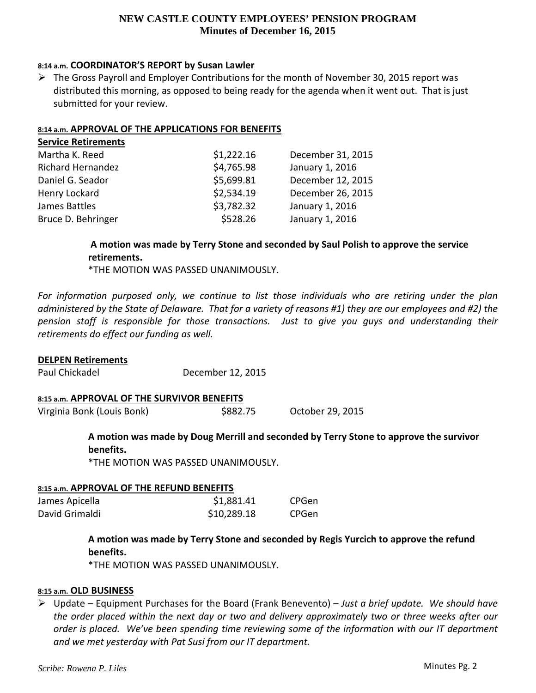## **8:14 a.m. COORDINATOR'S REPORT by Susan Lawler**

 $\triangleright$  The Gross Payroll and Employer Contributions for the month of November 30, 2015 report was distributed this morning, as opposed to being ready for the agenda when it went out. That is just submitted for your review.

### **8:14 a.m. APPROVAL OF THE APPLICATIONS FOR BENEFITS**

| \$1,222.16 | December 31, 2015 |
|------------|-------------------|
| \$4,765.98 | January 1, 2016   |
| \$5,699.81 | December 12, 2015 |
| \$2,534.19 | December 26, 2015 |
| \$3,782.32 | January 1, 2016   |
| \$528.26   | January 1, 2016   |
|            |                   |

## **A motion was made by Terry Stone and seconded by Saul Polish to approve the service retirements.**

\*THE MOTION WAS PASSED UNANIMOUSLY.

*For information purposed only, we continue to list those individuals who are retiring under the plan* administered by the State of Delaware. That for a variety of reasons #1) they are our employees and #2) the *pension staff is responsible for those transactions. Just to give you guys and understanding their retirements do effect our funding as well.*

### **DELPEN Retirements**

Paul Chickadel December 12, 2015

### **8:15 a.m. APPROVAL OF THE SURVIVOR BENEFITS**

Virginia Bonk (Louis Bonk) \$882.75 October 29, 2015

# **A motion was made by Doug Merrill and seconded by Terry Stone to approve the survivor benefits.**

\*THE MOTION WAS PASSED UNANIMOUSLY.

### **8:15 a.m. APPROVAL OF THE REFUND BENEFITS**

| James Apicella | \$1,881.41  | CPGen |
|----------------|-------------|-------|
| David Grimaldi | \$10,289.18 | CPGen |

# **A motion was made by Terry Stone and seconded by Regis Yurcich to approve the refund benefits.**

\*THE MOTION WAS PASSED UNANIMOUSLY.

## **8:15 a.m. OLD BUSINESS**

 Update – Equipment Purchases for the Board (Frank Benevento) – *Just a brief update. We should have* the order placed within the next day or two and delivery approximately two or three weeks after our *order is placed. We've been spending time reviewing some of the information with our IT department and we met yesterday with Pat Susi from our IT department.*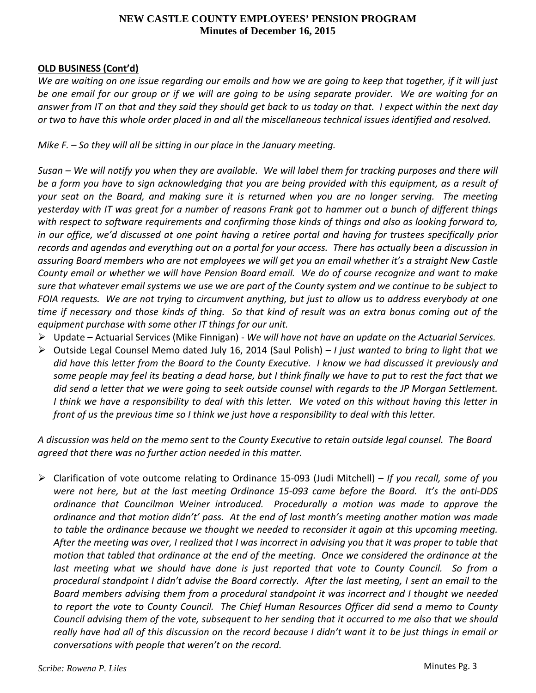## **OLD BUSINESS (Cont'd)**

We are waiting on one issue regarding our emails and how we are going to keep that together, if it will just be one email for our group or if we will are going to be using separate provider. We are waiting for an answer from IT on that and they said they should get back to us today on that. I expect within the next day or two to have this whole order placed in and all the miscellaneous technical issues identified and resolved.

*Mike F. – So they will all be sitting in our place in the January meeting.*

Susan – We will notify you when they are available. We will label them for tracking purposes and there will be a form you have to sign acknowledging that you are being provided with this equipment, as a result of your seat on the Board, and making sure it is returned when you are no longer serving. The meeting yesterday with IT was great for a number of reasons Frank got to hammer out a bunch of different things with respect to software requirements and confirming those kinds of things and also as looking forward to, in our office, we'd discussed at one point having a retiree portal and having for trustees specifically prior records and agendas and everything out on a portal for your access. There has actually been a discussion in assuring Board members who are not employees we will get you an email whether it's a straight New Castle County email or whether we will have Pension Board email. We do of course recognize and want to make sure that whatever email systems we use we are part of the County system and we continue to be subject to FOIA requests. We are not trying to circumvent anything, but just to allow us to address everybody at one time if necessary and those kinds of thing. So that kind of result was an extra bonus coming out of the *equipment purchase with some other IT things for our unit.*

- Update Actuarial Services (Mike Finnigan) ‐ *We will have not have an update on the Actuarial Services.*
- Outside Legal Counsel Memo dated July 16, 2014 (Saul Polish) *I just wanted to bring to light that we* did have this letter from the Board to the County Executive. I know we had discussed it previously and some people may feel its beating a dead horse, but I think finally we have to put to rest the fact that we did send a letter that we were going to seek outside counsel with regards to the JP Morgan Settlement. I think we have a responsibility to deal with this letter. We voted on this without having this letter in front of us the previous time so I think we just have a responsibility to deal with this letter.

A discussion was held on the memo sent to the County Executive to retain outside legal counsel. The Board *agreed that there was no further action needed in this matter.*

 Clarification of vote outcome relating to Ordinance 15‐093 (Judi Mitchell) – *If you recall, some of you* were not here, but at the last meeting Ordinance 15-093 came before the Board. It's the anti-DDS *ordinance that Councilman Weiner introduced. Procedurally a motion was made to approve the* ordinance and that motion didn't' pass. At the end of last month's meeting another motion was made to table the ordinance because we thought we needed to reconsider it again at this upcoming meeting. After the meeting was over, I realized that I was incorrect in advising you that it was proper to table that motion that tabled that ordinance at the end of the meeting. Once we considered the ordinance at the last meeting what we should have done is just reported that vote to County Council. So from a procedural standpoint I didn't advise the Board correctly. After the last meeting, I sent an email to the *Board members advising them from a procedural standpoint it was incorrect and I thought we needed* to report the vote to County Council. The Chief Human Resources Officer did send a memo to County Council advising them of the vote, subsequent to her sending that it occurred to me also that we should really have had all of this discussion on the record because I didn't want it to be just things in email or *conversations with people that weren't on the record.*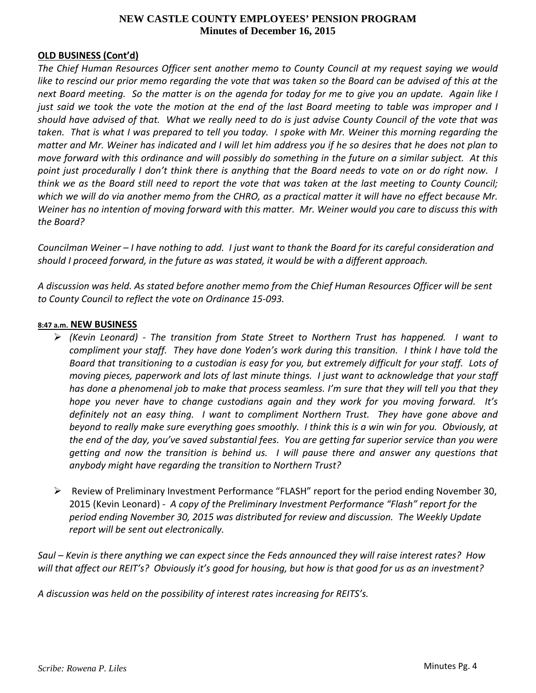### **OLD BUSINESS (Cont'd)**

*The Chief Human Resources Officer sent another memo to County Council at my request saying we would* like to rescind our prior memo regarding the vote that was taken so the Board can be advised of this at the next Board meeting. So the matter is on the agenda for today for me to give you an update. Again like I just said we took the vote the motion at the end of the last Board meeting to table was improper and I should have advised of that. What we really need to do is just advise County Council of the vote that was taken. That is what I was prepared to tell you today. I spoke with Mr. Weiner this morning regarding the matter and Mr. Weiner has indicated and I will let him address you if he so desires that he does not plan to move forward with this ordinance and will possibly do something in the future on a similar subject. At this point just procedurally I don't think there is anything that the Board needs to vote on or do right now. I think we as the Board still need to report the vote that was taken at the last meeting to County Council; which we will do via another memo from the CHRO, as a practical matter it will have no effect because Mr. Weiner has no intention of moving forward with this matter. Mr. Weiner would you care to discuss this with *the Board?*

Councilman Weiner - I have nothing to add. I just want to thank the Board for its careful consideration and *should I proceed forward, in the future as was stated, it would be with a different approach.*

A discussion was held. As stated before another memo from the Chief Human Resources Officer will be sent *to County Council to reflect the vote on Ordinance 15‐093.*

### **8:47 a.m. NEW BUSINESS**

- *(Kevin Leonard) ‐ The transition from State Street to Northern Trust has happened. I want to* compliment your staff. They have done Yoden's work during this transition. I think I have told the Board that transitioning to a custodian is easy for you, but extremely difficult for your staff. Lots of moving pieces, paperwork and lots of last minute things. I just want to acknowledge that your staff has done a phenomenal job to make that process seamless. I'm sure that they will tell you that they *hope you never have to change custodians again and they work for you moving forward. It's definitely not an easy thing. I want to compliment Northern Trust. They have gone above and* beyond to really make sure everything goes smoothly. I think this is a win win for you. Obviously, at the end of the day, you've saved substantial fees. You are getting far superior service than you were *getting and now the transition is behind us. I will pause there and answer any questions that anybody might have regarding the transition to Northern Trust?*
- $\triangleright$  Review of Preliminary Investment Performance "FLASH" report for the period ending November 30, 2015 (Kevin Leonard) ‐ *A copy of the Preliminary Investment Performance "Flash" report for the period ending November 30, 2015 was distributed for review and discussion. The Weekly Update report will be sent out electronically.*

Saul – Kevin is there anything we can expect since the Feds announced they will raise interest rates? How will that affect our REIT's? Obviously it's good for housing, but how is that good for us as an investment?

*A discussion was held on the possibility of interest rates increasing for REITS's.*